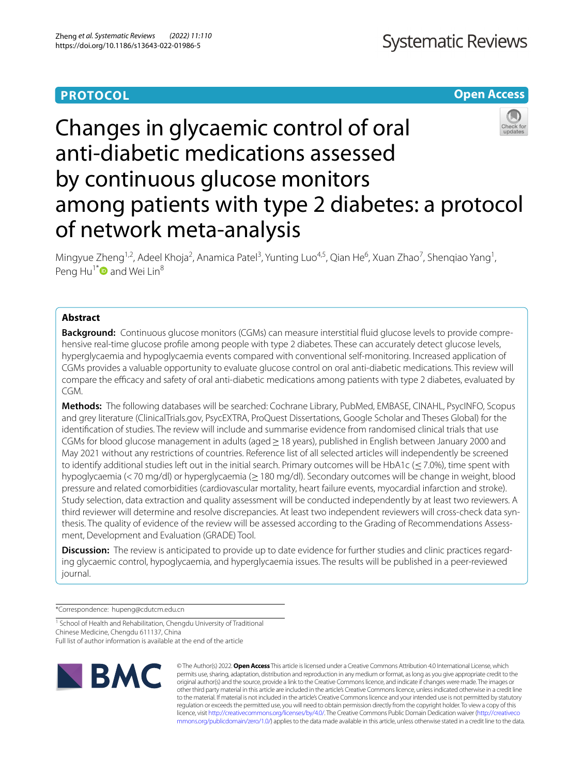# **PROTOCOL**

# **Open Access**



# Changes in glycaemic control of oral anti-diabetic medications assessed by continuous glucose monitors among patients with type 2 diabetes: a protocol of network meta-analysis

Mingyue Zheng<sup>1,2</sup>, Adeel Khoja<sup>2</sup>, Anamica Patel<sup>3</sup>, Yunting Luo<sup>4,5</sup>, Qian He<sup>6</sup>, Xuan Zhao<sup>7</sup>, Shenqiao Yang<sup>1</sup>, Peng Hu<sup>1\*</sup> and Wei Lin<sup>8</sup>

## **Abstract**

**Background:** Continuous glucose monitors (CGMs) can measure interstitial fuid glucose levels to provide comprehensive real-time glucose profle among people with type 2 diabetes. These can accurately detect glucose levels, hyperglycaemia and hypoglycaemia events compared with conventional self-monitoring. Increased application of CGMs provides a valuable opportunity to evaluate glucose control on oral anti-diabetic medications. This review will compare the efficacy and safety of oral anti-diabetic medications among patients with type 2 diabetes, evaluated by CGM.

**Methods:** The following databases will be searched: Cochrane Library, PubMed, EMBASE, CINAHL, PsycINFO, Scopus and grey literature (ClinicalTrials.gov, PsycEXTRA, ProQuest Dissertations, Google Scholar and Theses Global) for the identifcation of studies. The review will include and summarise evidence from randomised clinical trials that use CGMs for blood glucose management in adults (aged≥18 years), published in English between January 2000 and May 2021 without any restrictions of countries. Reference list of all selected articles will independently be screened to identify additional studies left out in the initial search. Primary outcomes will be HbA1c ( $\leq$ 7.0%), time spent with hypoglycaemia (<70 mg/dl) or hyperglycaemia (≥180 mg/dl). Secondary outcomes will be change in weight, blood pressure and related comorbidities (cardiovascular mortality, heart failure events, myocardial infarction and stroke). Study selection, data extraction and quality assessment will be conducted independently by at least two reviewers. A third reviewer will determine and resolve discrepancies. At least two independent reviewers will cross-check data synthesis. The quality of evidence of the review will be assessed according to the Grading of Recommendations Assessment, Development and Evaluation (GRADE) Tool.

**Discussion:** The review is anticipated to provide up to date evidence for further studies and clinic practices regarding glycaemic control, hypoglycaemia, and hyperglycaemia issues. The results will be published in a peer-reviewed journal.

\*Correspondence: hupeng@cdutcm.edu.cn

<sup>1</sup> School of Health and Rehabilitation, Chengdu University of Traditional Chinese Medicine, Chengdu 611137, China

Full list of author information is available at the end of the article



© The Author(s) 2022. **Open Access** This article is licensed under a Creative Commons Attribution 4.0 International License, which permits use, sharing, adaptation, distribution and reproduction in any medium or format, as long as you give appropriate credit to the original author(s) and the source, provide a link to the Creative Commons licence, and indicate if changes were made. The images or other third party material in this article are included in the article's Creative Commons licence, unless indicated otherwise in a credit line to the material. If material is not included in the article's Creative Commons licence and your intended use is not permitted by statutory regulation or exceeds the permitted use, you will need to obtain permission directly from the copyright holder. To view a copy of this licence, visit [http://creativecommons.org/licenses/by/4.0/.](http://creativecommons.org/licenses/by/4.0/) The Creative Commons Public Domain Dedication waiver ([http://creativeco](http://creativecommons.org/publicdomain/zero/1.0/) [mmons.org/publicdomain/zero/1.0/](http://creativecommons.org/publicdomain/zero/1.0/)) applies to the data made available in this article, unless otherwise stated in a credit line to the data.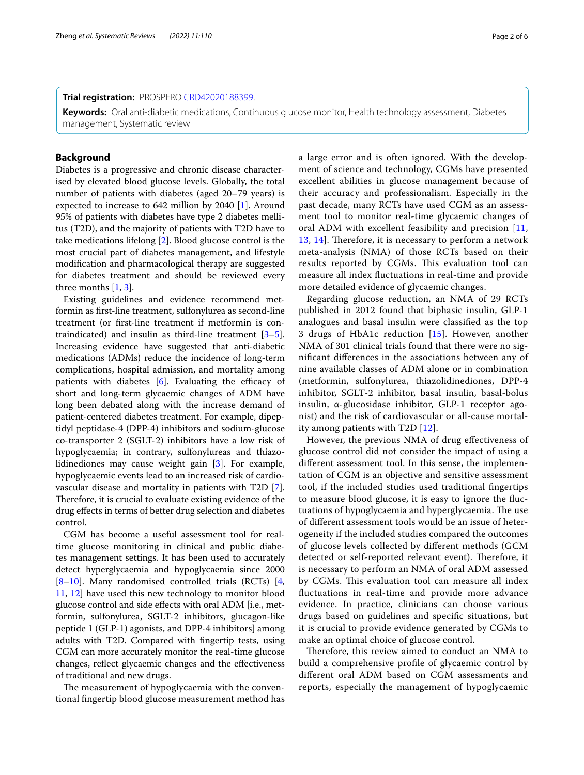#### **Trial registration:** PROSPERO [CRD42020188399](https://www.crd.york.ac.uk/prospero/).

**Keywords:** Oral anti-diabetic medications, Continuous glucose monitor, Health technology assessment, Diabetes management, Systematic review

## **Background**

Diabetes is a progressive and chronic disease characterised by elevated blood glucose levels. Globally, the total number of patients with diabetes (aged 20–79 years) is expected to increase to 642 million by 2040 [\[1](#page-5-0)]. Around 95% of patients with diabetes have type 2 diabetes mellitus (T2D), and the majority of patients with T2D have to take medications lifelong [\[2](#page-5-1)]. Blood glucose control is the most crucial part of diabetes management, and lifestyle modifcation and pharmacological therapy are suggested for diabetes treatment and should be reviewed every three months [[1,](#page-5-0) [3](#page-5-2)].

Existing guidelines and evidence recommend metformin as frst-line treatment, sulfonylurea as second-line treatment (or frst-line treatment if metformin is contraindicated) and insulin as third-line treatment [\[3](#page-5-2)[–5](#page-5-3)]. Increasing evidence have suggested that anti-diabetic medications (ADMs) reduce the incidence of long-term complications, hospital admission, and mortality among patients with diabetes  $[6]$ . Evaluating the efficacy of short and long-term glycaemic changes of ADM have long been debated along with the increase demand of patient-centered diabetes treatment. For example, dipeptidyl peptidase-4 (DPP-4) inhibitors and sodium-glucose co-transporter 2 (SGLT-2) inhibitors have a low risk of hypoglycaemia; in contrary, sulfonylureas and thiazolidinediones may cause weight gain [[3\]](#page-5-2). For example, hypoglycaemic events lead to an increased risk of cardiovascular disease and mortality in patients with T2D [\[7](#page-5-5)]. Therefore, it is crucial to evaluate existing evidence of the drug efects in terms of better drug selection and diabetes control.

CGM has become a useful assessment tool for realtime glucose monitoring in clinical and public diabetes management settings. It has been used to accurately detect hyperglycaemia and hypoglycaemia since 2000 [[8–](#page-5-6)[10\]](#page-5-7). Many randomised controlled trials (RCTs) [\[4](#page-5-8), [11,](#page-5-9) [12\]](#page-5-10) have used this new technology to monitor blood glucose control and side efects with oral ADM [i.e., metformin, sulfonylurea, SGLT-2 inhibitors, glucagon-like peptide 1 (GLP-1) agonists, and DPP-4 inhibitors] among adults with T2D. Compared with fngertip tests, using CGM can more accurately monitor the real-time glucose changes, refect glycaemic changes and the efectiveness of traditional and new drugs.

The measurement of hypoglycaemia with the conventional fngertip blood glucose measurement method has a large error and is often ignored. With the development of science and technology, CGMs have presented

excellent abilities in glucose management because of their accuracy and professionalism. Especially in the past decade, many RCTs have used CGM as an assessment tool to monitor real-time glycaemic changes of oral ADM with excellent feasibility and precision [\[11](#page-5-9), [13,](#page-5-11) [14](#page-5-12)]. Therefore, it is necessary to perform a network meta-analysis (NMA) of those RCTs based on their results reported by CGMs. This evaluation tool can measure all index fuctuations in real-time and provide more detailed evidence of glycaemic changes.

Regarding glucose reduction, an NMA of 29 RCTs published in 2012 found that biphasic insulin, GLP-1 analogues and basal insulin were classifed as the top 3 drugs of HbA1c reduction [[15\]](#page-5-13). However, another NMA of 301 clinical trials found that there were no signifcant diferences in the associations between any of nine available classes of ADM alone or in combination (metformin, sulfonylurea, thiazolidinediones, DPP-4 inhibitor, SGLT-2 inhibitor, basal insulin, basal-bolus insulin, α-glucosidase inhibitor, GLP-1 receptor agonist) and the risk of cardiovascular or all-cause mortality among patients with T2D [\[12](#page-5-10)].

However, the previous NMA of drug efectiveness of glucose control did not consider the impact of using a diferent assessment tool. In this sense, the implementation of CGM is an objective and sensitive assessment tool, if the included studies used traditional fngertips to measure blood glucose, it is easy to ignore the fuctuations of hypoglycaemia and hyperglycaemia. The use of diferent assessment tools would be an issue of heterogeneity if the included studies compared the outcomes of glucose levels collected by diferent methods (GCM detected or self-reported relevant event). Therefore, it is necessary to perform an NMA of oral ADM assessed by CGMs. This evaluation tool can measure all index fuctuations in real-time and provide more advance evidence. In practice, clinicians can choose various drugs based on guidelines and specifc situations, but it is crucial to provide evidence generated by CGMs to make an optimal choice of glucose control.

Therefore, this review aimed to conduct an NMA to build a comprehensive profle of glycaemic control by diferent oral ADM based on CGM assessments and reports, especially the management of hypoglycaemic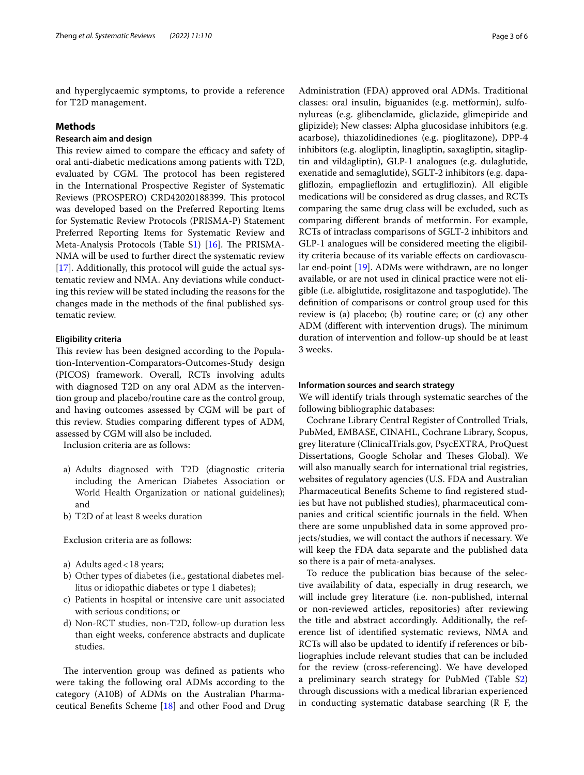and hyperglycaemic symptoms, to provide a reference for T2D management.

## **Methods**

## **Research aim and design**

This review aimed to compare the efficacy and safety of oral anti-diabetic medications among patients with T2D, evaluated by CGM. The protocol has been registered in the International Prospective Register of Systematic Reviews (PROSPERO) CRD42020188399. This protocol was developed based on the Preferred Reporting Items for Systematic Review Protocols (PRISMA-P) Statement Preferred Reporting Items for Systematic Review and Meta-Analysis Protocols (Table S[1\)](#page-4-0)  $[16]$ . The PRISMA-NMA will be used to further direct the systematic review [[17\]](#page-5-15). Additionally, this protocol will guide the actual systematic review and NMA. Any deviations while conducting this review will be stated including the reasons for the changes made in the methods of the fnal published systematic review.

## **Eligibility criteria**

This review has been designed according to the Population-Intervention-Comparators-Outcomes-Study design (PICOS) framework. Overall, RCTs involving adults with diagnosed T2D on any oral ADM as the intervention group and placebo/routine care as the control group, and having outcomes assessed by CGM will be part of this review. Studies comparing diferent types of ADM, assessed by CGM will also be included.

Inclusion criteria are as follows:

- a) Adults diagnosed with T2D (diagnostic criteria including the American Diabetes Association or World Health Organization or national guidelines); and
- b) T2D of at least 8 weeks duration

Exclusion criteria are as follows:

- a) Adults aged<18 years;
- b) Other types of diabetes (i.e., gestational diabetes mellitus or idiopathic diabetes or type 1 diabetes);
- c) Patients in hospital or intensive care unit associated with serious conditions; or
- d) Non-RCT studies, non-T2D, follow-up duration less than eight weeks, conference abstracts and duplicate studies.

The intervention group was defined as patients who were taking the following oral ADMs according to the category (A10B) of ADMs on the Australian Pharmaceutical Benefts Scheme [[18](#page-5-16)] and other Food and Drug Administration (FDA) approved oral ADMs. Traditional classes: oral insulin, biguanides (e.g. metformin), sulfonylureas (e.g. glibenclamide, gliclazide, glimepiride and glipizide); New classes: Alpha glucosidase inhibitors (e.g. acarbose), thiazolidinediones (e.g. pioglitazone), DPP-4 inhibitors (e.g. alogliptin, linagliptin, saxagliptin, sitagliptin and vildagliptin), GLP-1 analogues (e.g. dulaglutide, exenatide and semaglutide), SGLT-2 inhibitors (e.g. dapaglifozin, empagliefozin and ertuglifozin). All eligible medications will be considered as drug classes, and RCTs comparing the same drug class will be excluded, such as comparing diferent brands of metformin. For example, RCTs of intraclass comparisons of SGLT-2 inhibitors and GLP-1 analogues will be considered meeting the eligibility criteria because of its variable efects on cardiovascular end-point [[19\]](#page-5-17). ADMs were withdrawn, are no longer available, or are not used in clinical practice were not eligible (i.e. albiglutide, rosiglitazone and taspoglutide). The defnition of comparisons or control group used for this review is (a) placebo; (b) routine care; or (c) any other ADM (different with intervention drugs). The minimum duration of intervention and follow-up should be at least 3 weeks.

## **Information sources and search strategy**

We will identify trials through systematic searches of the following bibliographic databases:

Cochrane Library Central Register of Controlled Trials, PubMed, EMBASE, CINAHL, Cochrane Library, Scopus, grey literature (ClinicalTrials.gov, PsycEXTRA, ProQuest Dissertations, Google Scholar and Theses Global). We will also manually search for international trial registries, websites of regulatory agencies (U.S. FDA and Australian Pharmaceutical Benefts Scheme to fnd registered studies but have not published studies), pharmaceutical companies and critical scientifc journals in the feld. When there are some unpublished data in some approved projects/studies, we will contact the authors if necessary. We will keep the FDA data separate and the published data so there is a pair of meta-analyses.

To reduce the publication bias because of the selective availability of data, especially in drug research, we will include grey literature (i.e. non-published, internal or non-reviewed articles, repositories) after reviewing the title and abstract accordingly. Additionally, the reference list of identifed systematic reviews, NMA and RCTs will also be updated to identify if references or bibliographies include relevant studies that can be included for the review (cross-referencing). We have developed a preliminary search strategy for PubMed (Table [S2](#page-4-1)) through discussions with a medical librarian experienced in conducting systematic database searching (R F, the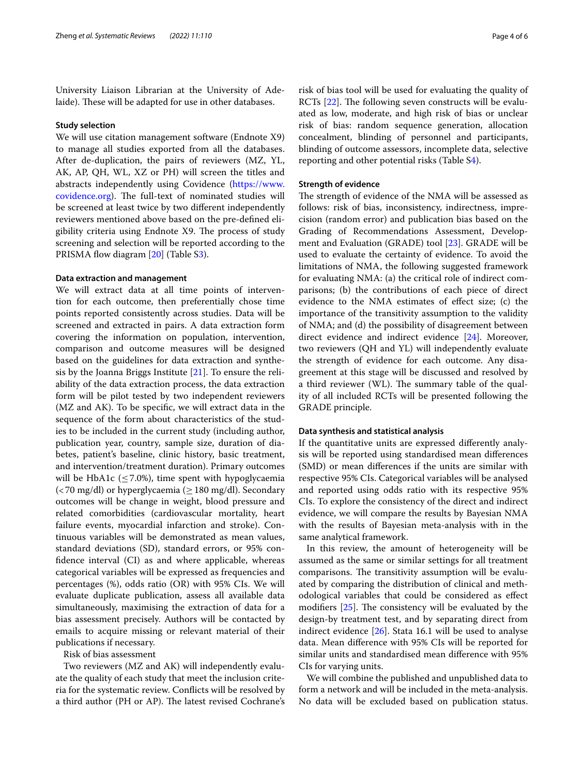University Liaison Librarian at the University of Adelaide). These will be adapted for use in other databases.

#### **Study selection**

We will use citation management software (Endnote X9) to manage all studies exported from all the databases. After de-duplication, the pairs of reviewers (MZ, YL, AK, AP, QH, WL, XZ or PH) will screen the titles and abstracts independently using Covidence [\(https://www.](https://www.covidence.org) [covidence.org](https://www.covidence.org)). The full-text of nominated studies will be screened at least twice by two diferent independently reviewers mentioned above based on the pre-defned eligibility criteria using Endnote X9. The process of study screening and selection will be reported according to the PRISMA flow diagram [\[20](#page-5-18)] (Table S[3\)](#page-4-2).

## **Data extraction and management**

We will extract data at all time points of intervention for each outcome, then preferentially chose time points reported consistently across studies. Data will be screened and extracted in pairs. A data extraction form covering the information on population, intervention, comparison and outcome measures will be designed based on the guidelines for data extraction and synthesis by the Joanna Briggs Institute  $[21]$  $[21]$ . To ensure the reliability of the data extraction process, the data extraction form will be pilot tested by two independent reviewers (MZ and AK). To be specifc, we will extract data in the sequence of the form about characteristics of the studies to be included in the current study (including author, publication year, country, sample size, duration of diabetes, patient's baseline, clinic history, basic treatment, and intervention/treatment duration). Primary outcomes will be HbA1c ( $\leq$  7.0%), time spent with hypoglycaemia  $\left($  < 70 mg/dl) or hyperglycaemia ( $\geq$  180 mg/dl). Secondary outcomes will be change in weight, blood pressure and related comorbidities (cardiovascular mortality, heart failure events, myocardial infarction and stroke). Continuous variables will be demonstrated as mean values, standard deviations (SD), standard errors, or 95% confdence interval (CI) as and where applicable, whereas categorical variables will be expressed as frequencies and percentages (%), odds ratio (OR) with 95% CIs. We will evaluate duplicate publication, assess all available data simultaneously, maximising the extraction of data for a bias assessment precisely. Authors will be contacted by emails to acquire missing or relevant material of their publications if necessary.

## Risk of bias assessment

Two reviewers (MZ and AK) will independently evaluate the quality of each study that meet the inclusion criteria for the systematic review. Conficts will be resolved by a third author (PH or AP). The latest revised Cochrane's risk of bias tool will be used for evaluating the quality of RCTs  $[22]$  $[22]$ . The following seven constructs will be evaluated as low, moderate, and high risk of bias or unclear risk of bias: random sequence generation, allocation concealment, blinding of personnel and participants, blinding of outcome assessors, incomplete data, selective reporting and other potential risks (Table S[4](#page-4-3)).

## **Strength of evidence**

The strength of evidence of the NMA will be assessed as follows: risk of bias, inconsistency, indirectness, imprecision (random error) and publication bias based on the Grading of Recommendations Assessment, Development and Evaluation (GRADE) tool [\[23](#page-5-21)]. GRADE will be used to evaluate the certainty of evidence. To avoid the limitations of NMA, the following suggested framework for evaluating NMA: (a) the critical role of indirect comparisons; (b) the contributions of each piece of direct evidence to the NMA estimates of efect size; (c) the importance of the transitivity assumption to the validity of NMA; and (d) the possibility of disagreement between direct evidence and indirect evidence [\[24](#page-5-22)]. Moreover, two reviewers (QH and YL) will independently evaluate the strength of evidence for each outcome. Any disagreement at this stage will be discussed and resolved by a third reviewer (WL). The summary table of the quality of all included RCTs will be presented following the GRADE principle.

## **Data synthesis and statistical analysis**

If the quantitative units are expressed diferently analysis will be reported using standardised mean diferences (SMD) or mean diferences if the units are similar with respective 95% CIs. Categorical variables will be analysed and reported using odds ratio with its respective 95% CIs. To explore the consistency of the direct and indirect evidence, we will compare the results by Bayesian NMA with the results of Bayesian meta-analysis with in the same analytical framework.

In this review, the amount of heterogeneity will be assumed as the same or similar settings for all treatment comparisons. The transitivity assumption will be evaluated by comparing the distribution of clinical and methodological variables that could be considered as efect modifiers  $[25]$ . The consistency will be evaluated by the design-by treatment test, and by separating direct from indirect evidence [\[26\]](#page-5-24). Stata 16.1 will be used to analyse data. Mean diference with 95% CIs will be reported for similar units and standardised mean diference with 95% CIs for varying units.

We will combine the published and unpublished data to form a network and will be included in the meta-analysis. No data will be excluded based on publication status.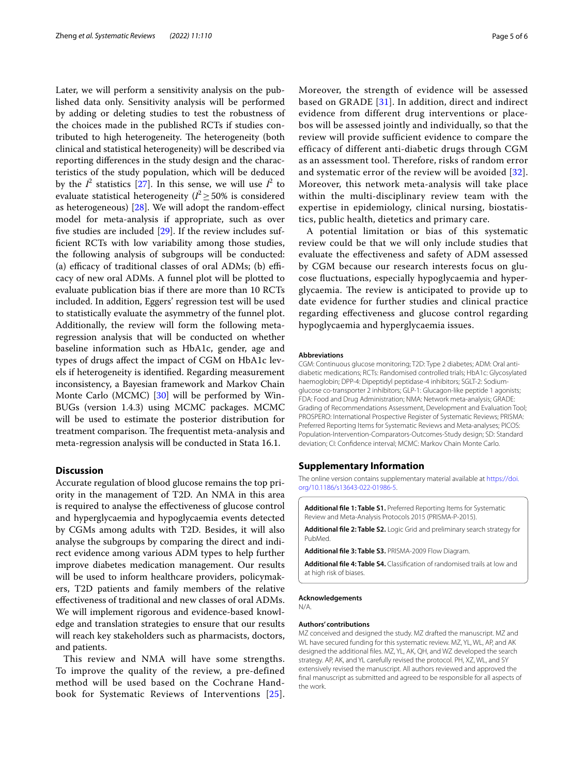Later, we will perform a sensitivity analysis on the published data only. Sensitivity analysis will be performed by adding or deleting studies to test the robustness of the choices made in the published RCTs if studies contributed to high heterogeneity. The heterogeneity (both clinical and statistical heterogeneity) will be described via reporting diferences in the study design and the characteristics of the study population, which will be deduced by the  $I^2$  statistics [[27](#page-5-25)]. In this sense, we will use  $I^2$  to evaluate statistical heterogeneity  $(I^2 \geq 50\%$  is considered as heterogeneous) [\[28](#page-5-26)]. We will adopt the random-efect model for meta-analysis if appropriate, such as over fve studies are included [\[29](#page-5-27)]. If the review includes suffcient RCTs with low variability among those studies, the following analysis of subgroups will be conducted: (a) efficacy of traditional classes of oral ADMs; (b) efficacy of new oral ADMs. A funnel plot will be plotted to evaluate publication bias if there are more than 10 RCTs included. In addition, Eggers' regression test will be used to statistically evaluate the asymmetry of the funnel plot. Additionally, the review will form the following metaregression analysis that will be conducted on whether baseline information such as HbA1c, gender, age and types of drugs afect the impact of CGM on HbA1c levels if heterogeneity is identifed. Regarding measurement inconsistency, a Bayesian framework and Markov Chain Monte Carlo (MCMC) [[30](#page-5-28)] will be performed by Win-BUGs (version 1.4.3) using MCMC packages. MCMC will be used to estimate the posterior distribution for treatment comparison. The frequentist meta-analysis and meta-regression analysis will be conducted in Stata 16.1.

## **Discussion**

Accurate regulation of blood glucose remains the top priority in the management of T2D. An NMA in this area is required to analyse the efectiveness of glucose control and hyperglycaemia and hypoglycaemia events detected by CGMs among adults with T2D. Besides, it will also analyse the subgroups by comparing the direct and indirect evidence among various ADM types to help further improve diabetes medication management. Our results will be used to inform healthcare providers, policymakers, T2D patients and family members of the relative efectiveness of traditional and new classes of oral ADMs. We will implement rigorous and evidence-based knowledge and translation strategies to ensure that our results will reach key stakeholders such as pharmacists, doctors, and patients.

This review and NMA will have some strengths. To improve the quality of the review, a pre-defined method will be used based on the Cochrane Handbook for Systematic Reviews of Interventions [[25\]](#page-5-23). Moreover, the strength of evidence will be assessed based on GRADE [[31\]](#page-5-29). In addition, direct and indirect evidence from different drug interventions or placebos will be assessed jointly and individually, so that the review will provide sufficient evidence to compare the efficacy of different anti-diabetic drugs through CGM as an assessment tool. Therefore, risks of random error and systematic error of the review will be avoided [[32\]](#page-5-30). Moreover, this network meta-analysis will take place within the multi-disciplinary review team with the expertise in epidemiology, clinical nursing, biostatistics, public health, dietetics and primary care.

A potential limitation or bias of this systematic review could be that we will only include studies that evaluate the efectiveness and safety of ADM assessed by CGM because our research interests focus on glucose fuctuations, especially hypoglycaemia and hyperglycaemia. The review is anticipated to provide up to date evidence for further studies and clinical practice regarding efectiveness and glucose control regarding hypoglycaemia and hyperglycaemia issues.

#### **Abbreviations**

CGM: Continuous glucose monitoring; T2D: Type 2 diabetes; ADM: Oral antidiabetic medications; RCTs: Randomised controlled trials; HbA1c: Glycosylated haemoglobin; DPP-4: Dipeptidyl peptidase-4 inhibitors; SGLT-2: Sodiumglucose co-transporter 2 inhibitors; GLP-1: Glucagon-like peptide 1 agonists; FDA: Food and Drug Administration; NMA: Network meta-analysis; GRADE: Grading of Recommendations Assessment, Development and Evaluation Tool; PROSPERO: International Prospective Register of Systematic Reviews; PRISMA: Preferred Reporting Items for Systematic Reviews and Meta-analyses; PICOS: Population-Intervention-Comparators-Outcomes-Study design; SD: Standard deviation; CI: Confdence interval; MCMC: Markov Chain Monte Carlo.

## **Supplementary Information**

The online version contains supplementary material available at [https://doi.](https://doi.org/10.1186/s13643-022-01986-5) [org/10.1186/s13643-022-01986-5](https://doi.org/10.1186/s13643-022-01986-5).

<span id="page-4-1"></span><span id="page-4-0"></span>**Additional fle 1: Table S1.** Preferred Reporting Items for Systematic Review and Meta-Analysis Protocols 2015 (PRISMA-P-2015).

<span id="page-4-2"></span>**Additional fle 2: Table S2.** Logic Grid and preliminary search strategy for PubMed.

<span id="page-4-3"></span>**Additional fle 3: Table S3.** PRISMA-2009 Flow Diagram.

**Additional fle 4: Table S4.** Classifcation of randomised trails at low and at high risk of biases

# **Acknowledgements**

N/A.

#### **Authors' contributions**

MZ conceived and designed the study. MZ drafted the manuscript. MZ and WL have secured funding for this systematic review. MZ, YL, WL, AP, and AK designed the additional fles. MZ, YL, AK, QH, and WZ developed the search strategy. AP, AK, and YL carefully revised the protocol. PH, XZ, WL, and SY extensively revised the manuscript. All authors reviewed and approved the fnal manuscript as submitted and agreed to be responsible for all aspects of the work.